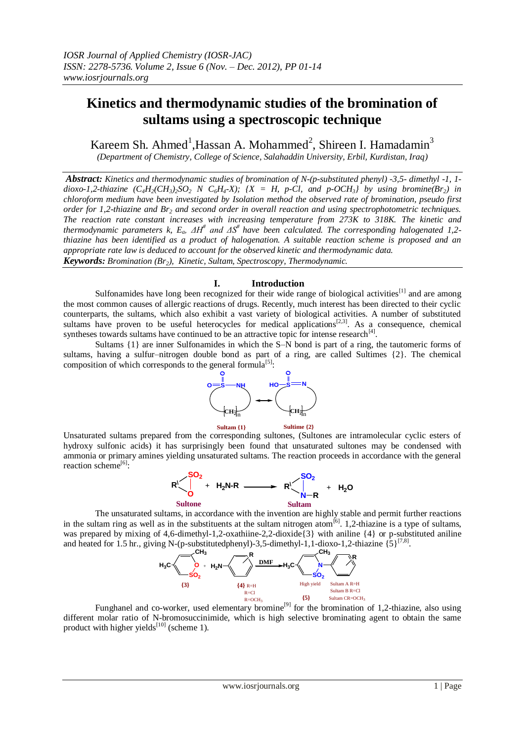# **Kinetics and thermodynamic studies of the bromination of sultams using a spectroscopic technique**

Kareem Sh. Ahmed<sup>1</sup>, Hassan A. Mohammed<sup>2</sup>, Shireen I. Hamadamin<sup>3</sup>

*(Department of Chemistry, College of Science, Salahaddin University, Erbil, Kurdistan, Iraq)*

*Abstract: Kinetics and thermodynamic studies of bromination of N-(p-substituted phenyl) -3,5- dimethyl -1, 1* dioxo-1,2-thiazine  $(C_4H_2(CH_3)_2SO_2$  N  $C_6H_4$ -X);  $\{X = H, p\text{-}Cl, and p\text{-}OCH_3\}$  by using bromine(Br<sub>2</sub>) in *chloroform medium have been investigated by Isolation method the observed rate of bromination, pseudo first order for 1,2-thiazine and Br<sup>2</sup> and second order in overall reaction and using spectrophotometric techniques. The reaction rate constant increases with increasing temperature from 273K to 318K. The kinetic and thermodynamic parameters k, Ea, ΔH# and ΔS# have been calculated. The corresponding halogenated 1,2 thiazine has been identified as a product of halogenation. A suitable reaction scheme is proposed and an appropriate rate law is deduced to account for the observed kinetic and thermodynamic data. Keywords: Bromination (Br2), Kinetic, Sultam, Spectroscopy, Thermodynamic.*

# **I. Introduction**

Sulfonamides have long been recognized for their wide range of biological activities<sup>[1]</sup> and are among the most common causes of allergic reactions of drugs. Recently, much interest has been directed to their cyclic counterparts, the sultams, which also exhibit a vast variety of biological activities. A number of substituted sultams have proven to be useful heterocycles for medical applications<sup>[2,3]</sup>. As a consequence, chemical syntheses towards sultams have continued to be an attractive topic for intense research $^{[4]}$ .

Sultams  $\{1\}$  are inner Sulfonamides in which the S–N bond is part of a ring, the tautomeric forms of sultams, having a sulfur–nitrogen double bond as part of a ring, are called Sultimes {2}. The chemical composition of which corresponds to the general formula<sup>[5]</sup>:



Unsaturated sultams prepared from the corresponding sultones, (Sultones are intramolecular cyclic esters of hydroxy sulfonic acids) it has surprisingly been found that unsaturated sultones may be condensed with ammonia or primary amines yielding unsaturated sultams. The reaction proceeds in accordance with the general reaction scheme<sup>[6]</sup>:



 The unsaturated sultams, in accordance with the invention are highly stable and permit further reactions in the sultam ring as well as in the substituents at the sultam nitrogen atom<sup>[6]</sup>. 1,2-thiazine is a type of sultams, was prepared by mixing of 4,6-dimethyl-1,2-oxathiine-2,2-dioxide{3} with aniline {4} or p-substituted aniline and heated for 1.5 hr., giving N-(p-substitutedphenyl)-3,5-dimethyl-1,1-dioxo-1,2-thiazine  $\{5\}^{[7,8]}$ .



Funghanel and co-worker, used elementary bromine<sup>[9]</sup> for the bromination of 1,2-thiazine, also using different molar ratio of N-bromosuccinimide, which is high selective brominating agent to obtain the same product with higher yields $^{[10]}$  (scheme 1).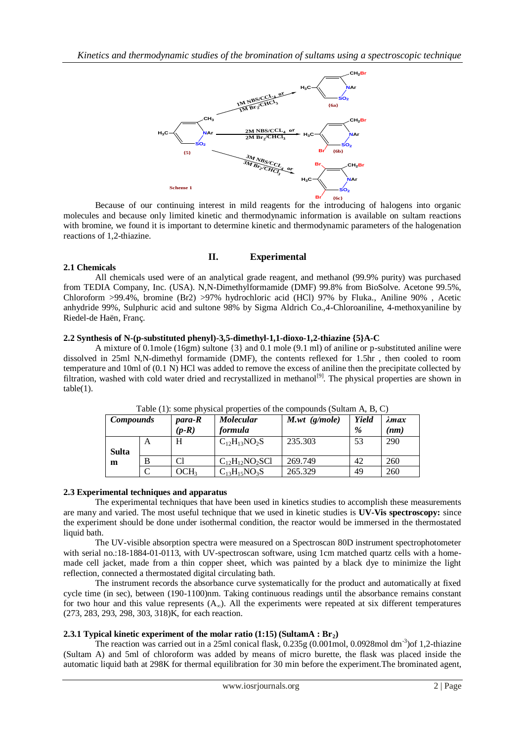

Because of our continuing interest in mild reagents for the introducing of halogens into organic molecules and because only limited kinetic and thermodynamic information is available on sultam reactions with bromine, we found it is important to determine kinetic and thermodynamic parameters of the halogenation reactions of 1,2-thiazine.

# **II. Experimental**

# **2.1 Chemicals**

All chemicals used were of an analytical grade reagent, and methanol (99.9% purity) was purchased from TEDIA Company, Inc. (USA). N,N-Dimethylformamide (DMF) 99.8% from BioSolve. Acetone 99.5%, Chloroform >99.4%, bromine (Br2) >97% hydrochloric acid (HCl) 97% by Fluka., Aniline 90% , Acetic anhydride 99%, Sulphuric acid and sultone 98% by Sigma Aldrich Co.,4-Chloroaniline, 4-methoxyaniline by Riedel-de Haën, Franç.

## **2.2 Synthesis of N-(p-substituted phenyl)-3,5-dimethyl-1,1-dioxo-1,2-thiazine {5}A-C**

A mixture of 0.1mole (16gm) sultone {3} and 0.1 mole (9.1 ml) of aniline or p-substituted aniline were dissolved in 25ml N,N-dimethyl formamide (DMF), the contents reflexed for 1.5hr , then cooled to room temperature and 10ml of (0.1 N) HCl was added to remove the excess of aniline then the precipitate collected by filtration, washed with cold water dried and recrystallized in methanol<sup>[9]</sup>. The physical properties are shown in  $table(1).$ 

| <b>Compounds</b> |   | <i>para-R</i><br>$(p-R)$ | <b>Molecular</b><br><i>formula</i> | $M.wt$ (g/mole) | Yield<br>$\%$ | $\lambda$ max<br>(nm) |
|------------------|---|--------------------------|------------------------------------|-----------------|---------------|-----------------------|
|                  | A | H                        | $C_{12}H_{13}NO_2S$                | 235.303         | 53            | 290                   |
| <b>Sulta</b>     |   |                          |                                    |                 |               |                       |
| m                | B | Cl                       | $C_{12}H_{12}NO_2SC1$              | 269.749         | 42            | 260                   |
|                  | ⌒ | OCH3                     | $C_{13}H_{15}NO_3S$                | 265.329         | 49            | 260                   |

Table (1): some physical properties of the compounds (Sultam A, B, C)

# **2.3 Experimental techniques and apparatus**

The experimental techniques that have been used in kinetics studies to accomplish these measurements are many and varied. The most useful technique that we used in kinetic studies is **UV-Vis spectroscopy:** since the experiment should be done under isothermal condition, the reactor would be immersed in the thermostated liquid bath.

 The UV-visible absorption spectra were measured on a Spectroscan 80D instrument spectrophotometer with serial no.:18-1884-01-0113, with UV-spectroscan software, using 1cm matched quartz cells with a homemade cell jacket, made from a thin copper sheet, which was painted by a black dye to minimize the light reflection, connected a thermostated digital circulating bath.

The instrument records the absorbance curve systematically for the product and automatically at fixed cycle time (in sec), between (190-1100)nm. Taking continuous readings until the absorbance remains constant for two hour and this value represents  $(A_{\infty})$ . All the experiments were repeated at six different temperatures (273, 283, 293, 298, 303, 318)K, for each reaction.

# **2.3.1 Typical kinetic experiment of the molar ratio (1:15) (SultamA : Br2)**

The reaction was carried out in a 25ml conical flask, 0.235g (0.001mol, 0.0928mol dm-3 )of 1,2-thiazine (Sultam A) and 5ml of chloroform was added by means of micro burette, the flask was placed inside the automatic liquid bath at 298K for thermal equilibration for 30 min before the experiment.The brominated agent,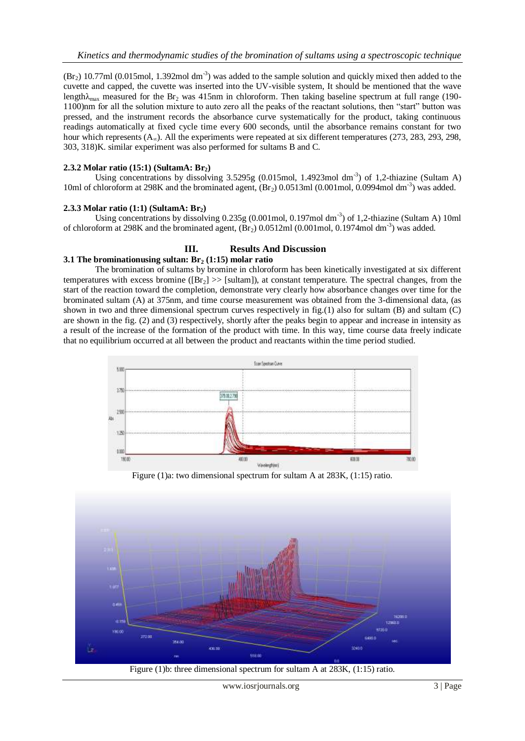$(Br<sub>2</sub>)$  10.77ml (0.015mol, 1.392mol dm<sup>-3</sup>) was added to the sample solution and quickly mixed then added to the cuvette and capped, the cuvette was inserted into the UV-visible system, It should be mentioned that the wave length $\lambda_{\text{max}}$  measured for the Br<sub>2</sub> was 415nm in chloroform. Then taking baseline spectrum at full range (190-1100)nm for all the solution mixture to auto zero all the peaks of the reactant solutions, then "start" button was pressed, and the instrument records the absorbance curve systematically for the product, taking continuous readings automatically at fixed cycle time every 600 seconds, until the absorbance remains constant for two hour which represents  $(A_{\infty})$ . All the experiments were repeated at six different temperatures (273, 283, 293, 298, 303, 318)K. similar experiment was also performed for sultams B and C.

## **2.3.2 Molar ratio (15:1) (SultamA: Br2)**

Using concentrations by dissolving  $3.5295g$  (0.015mol, 1.4923mol dm<sup>-3</sup>) of 1,2-thiazine (Sultam A) 10ml of chloroform at 298K and the brominated agent,  $(Br_2)$  0.0513ml (0.001mol, 0.0994mol dm<sup>-3</sup>) was added.

### **2.3.3 Molar ratio (1:1) (SultamA: Br2)**

Using concentrations by dissolving 0.235g (0.001mol, 0.197mol dm<sup>-3</sup>) of 1,2-thiazine (Sultam A) 10ml of chloroform at 298K and the brominated agent,  $(Br_2)$  0.0512ml (0.001mol, 0.1974mol dm<sup>-3</sup>) was added.

### **III. Results And Discussion**

### **3.1 The brominationusing sultan: Br<sup>2</sup> (1:15) molar ratio**

The bromination of sultams by bromine in chloroform has been kinetically investigated at six different temperatures with excess bromine ( $[Br_2] \gg$  [sultam]), at constant temperature. The spectral changes, from the start of the reaction toward the completion, demonstrate very clearly how absorbance changes over time for the brominated sultam (A) at 375nm, and time course measurement was obtained from the 3-dimensional data, (as shown in two and three dimensional spectrum curves respectively in fig.(1) also for sultam (B) and sultam (C) are shown in the fig. (2) and (3) respectively, shortly after the peaks begin to appear and increase in intensity as a result of the increase of the formation of the product with time. In this way, time course data freely indicate that no equilibrium occurred at all between the product and reactants within the time period studied.



Figure (1)a: two dimensional spectrum for sultam A at 283K, (1:15) ratio.



Figure (1)b: three dimensional spectrum for sultam A at 283K, (1:15) ratio.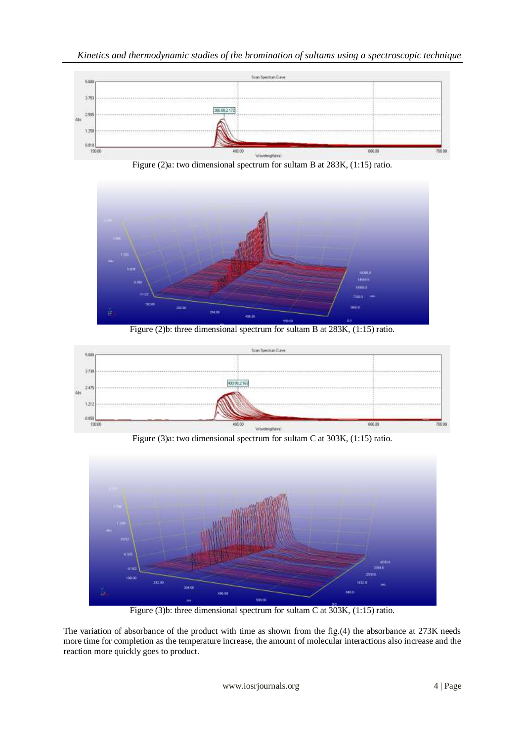





Figure (2)b: three dimensional spectrum for sultam B at 283K, (1:15) ratio.



Figure (3)a: two dimensional spectrum for sultam C at 303K, (1:15) ratio.



Figure (3)b: three dimensional spectrum for sultam C at 303K, (1:15) ratio.

The variation of absorbance of the product with time as shown from the fig.(4) the absorbance at 273K needs more time for completion as the temperature increase, the amount of molecular interactions also increase and the reaction more quickly goes to product.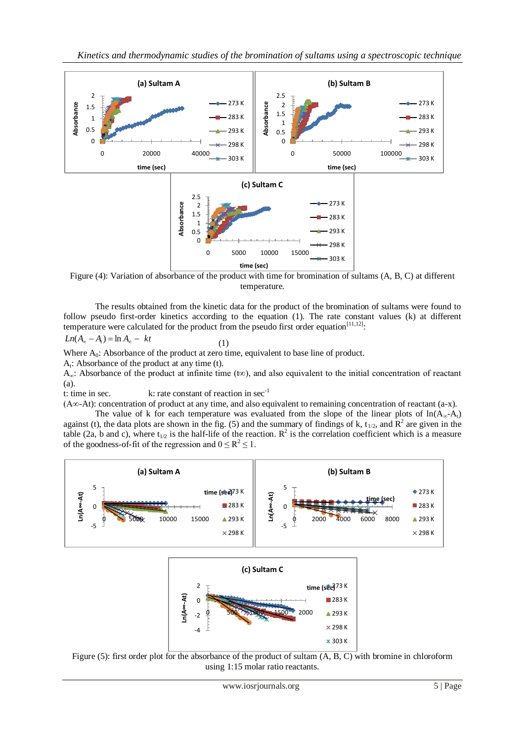

Figure (4): Variation of absorbance of the product with time for bromination of sultams (A, B, C) at different temperature.

The results obtained from the kinetic data for the product of the bromination of sultams were found to follow pseudo first-order kinetics according to the equation (1). The rate constant values (k) at different temperature were calculated for the product from the pseudo first order equation $[11,12]$ :

$$
Ln(A_{\infty} - A_t) = \ln A_{\infty} - kt \tag{1}
$$

Where A<sub>0</sub>: Absorbance of the product at zero time, equivalent to base line of product.

 $A_t$ : Absorbance of the product at any time (t).

A<sub>∞</sub>: Absorbance of the product at infinite time (t∞), and also equivalent to the initial concentration of reactant (a).

t: time in sec.  $k:$  rate constant of reaction in  $sec^{-1}$ 

(A∞-At): concentration of product at any time, and also equivalent to remaining concentration of reactant (a-x).

The value of k for each temperature was evaluated from the slope of the linear plots of  $ln(A_{\alpha}-A_{t})$ against (t), the data plots are shown in the fig. (5) and the summary of findings of k,  $t_{1/2}$ , and  $\mathbb{R}^2$  are given in the table (2a, b and c), where  $t_{1/2}$  is the half-life of the reaction.  $R^2$  is the correlation coefficient which is a measure of the goodness-of-fit of the regression and  $0 \le R^2 \le 1$ .



Figure (5): first order plot for the absorbance of the product of sultam (A, B, C) with bromine in chloroform using 1:15 molar ratio reactants.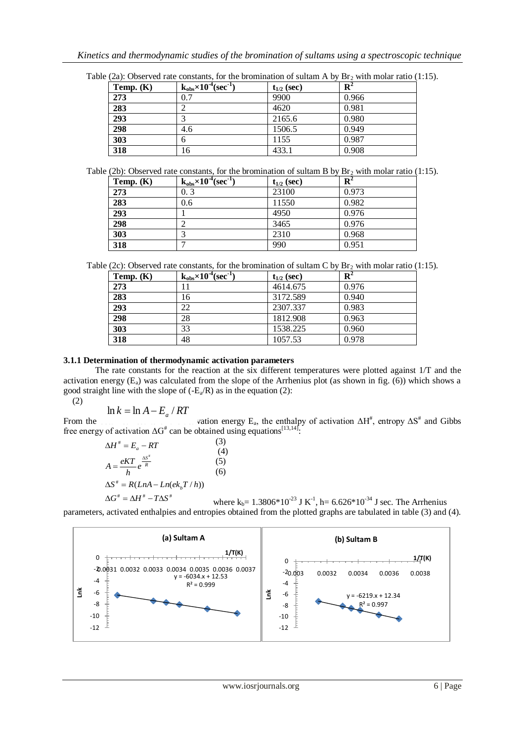| Temp. $(K)$ | $k_{obs} \times 10^{-4}$ (sec <sup>1</sup> ) | $t_{1/2}$ (sec) | $\mathbf{R}^2$ |
|-------------|----------------------------------------------|-----------------|----------------|
| 273         | 0.7                                          | 9900            | 0.966          |
| 283         |                                              | 4620            | 0.981          |
| 293         |                                              | 2165.6          | 0.980          |
| 298         | 4.6                                          | 1506.5          | 0.949          |
| 303         | 6                                            | 1155            | 0.987          |
| 318         | 16                                           | 433.1           | 0.908          |

Table (2b): Observed rate constants, for the bromination of sultam B by  $\text{Br}_2$  with molar ratio (1:15).

| Temp. $(K)$ | $k_{obs} \times 10^{-4}$ (sec <sup>-1</sup> ) | $t_{1/2}$ (sec) | $\overline{\mathbf{R}}^2$ |
|-------------|-----------------------------------------------|-----------------|---------------------------|
| 273         | 0.3                                           | 23100           | 0.973                     |
| 283         | 0.6                                           | 11550           | 0.982                     |
| 293         |                                               | 4950            | 0.976                     |
| 298         |                                               | 3465            | 0.976                     |
| 303         |                                               | 2310            | 0.968                     |
| 318         |                                               | 990             | 0.951                     |

Table (2c): Observed rate constants, for the bromination of sultam C by  $\text{Br}_2$  with molar ratio (1:15).

| Temp. $(K)$ | $k_{obs} \times 10^{-4}$ (sec <sup>-1</sup> ) | $t_{1/2}$ (sec) | ${\bf R}^2$ |
|-------------|-----------------------------------------------|-----------------|-------------|
| 273         |                                               | 4614.675        | 0.976       |
| 283         | 16                                            | 3172.589        | 0.940       |
| 293         | 22                                            | 2307.337        | 0.983       |
| 298         | 28                                            | 1812.908        | 0.963       |
| 303         | 33                                            | 1538.225        | 0.960       |
| 318         | 48                                            | 1057.53         | 0.978       |

## **3.1.1 Determination of thermodynamic activation parameters**

The rate constants for the reaction at the six different temperatures were plotted against 1/T and the activation energy  $(E_a)$  was calculated from the slope of the Arrhenius plot (as shown in fig. (6)) which shows a good straight line with the slope of  $(-E_a/R)$  as in the equation (2): (2)

$$
\ln k = \ln A - E_a / RT
$$

From the subsequence results of the activation  $\Delta H^*$ , entropy  $\Delta S^*$  and Gibbs free energy of activation  $\Delta G^*$  can be obtained using equations<sup>[13,14]</sup>:

$$
\Delta H^* = E_a - RT
$$
\n(3)  
\n
$$
A = \frac{eKT}{h}e^{\frac{\Delta S^*}{R}}
$$
\n(4)  
\n
$$
\Delta S^* = R(LnA - Ln(ek_bT/h))
$$
\n(6)

where  $k_b = 1.3806*10^{-23}$  J K<sup>-1</sup>, h= 6.626\*10<sup>-34</sup> J sec. The Arrhenius parameters, activated enthalpies and entropies obtained from the plotted graphs are tabulated in table (3) and (4).  $\Delta G^{\text{\#}} = \Delta H^{\text{\#}} - T \Delta S^{\text{\#}}$ 

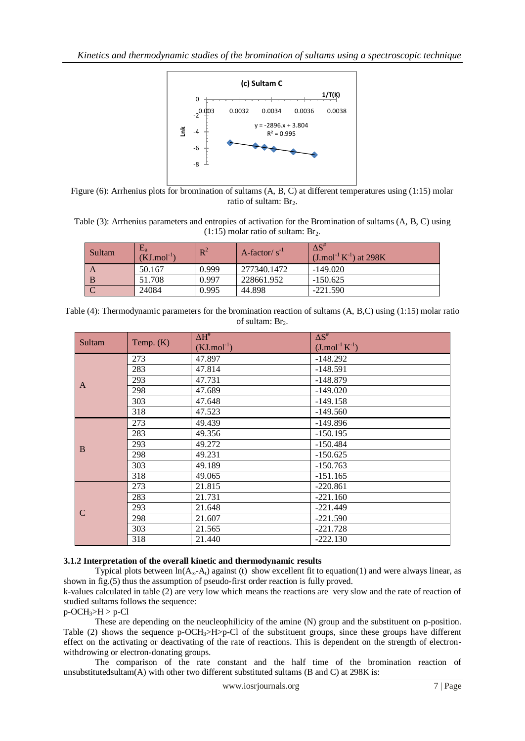

Figure (6): Arrhenius plots for bromination of sultams (A, B, C) at different temperatures using (1:15) molar ratio of sultam: Br<sub>2</sub>.

Table (3): Arrhenius parameters and entropies of activation for the Bromination of sultams (A, B, C) using  $(1:15)$  molar ratio of sultam: Br<sub>2</sub>.

| Sultam | $E_{a}$<br>$(KJ$ .mol <sup>-1</sup> | $R^2$ | A-factor/ $s^{-1}$ | $\Delta S^{\#}$<br>$(J \mod 1 K^{-1})$ at 298K |
|--------|-------------------------------------|-------|--------------------|------------------------------------------------|
|        | 50.167                              | 0.999 | 277340.1472        | $-149.020$                                     |
|        | 51.708                              | 0.997 | 228661.952         | $-150.625$                                     |
|        | 24084                               | 0.995 | 44.898             | $-221.590$                                     |

Table (4): Thermodynamic parameters for the bromination reaction of sultams (A, B,C) using (1:15) molar ratio of sultam: Br<sub>2</sub>.

| Sultam        | Temp. $(K)$ | $\Delta H^{\#}$<br>$(KJ$ .mol <sup>-1</sup> ) | $\Delta S^{\#}$<br>$(J \mod 1 K^{-1})$ |
|---------------|-------------|-----------------------------------------------|----------------------------------------|
|               | 273         | 47.897                                        | $-148.292$                             |
|               | 283         | 47.814                                        | $-148.591$                             |
|               | 293         | 47.731                                        | $-148.879$                             |
| A             | 298         | 47.689                                        | $-149.020$                             |
|               | 303         | 47.648                                        | $-149.158$                             |
|               | 318         | 47.523                                        | $-149.560$                             |
|               | 273         | 49.439                                        | $-149.896$                             |
|               | 283         | 49.356                                        | $-150.195$                             |
| B             | 293         | 49.272                                        | $-150.484$                             |
|               | 298         | 49.231                                        | $-150.625$                             |
|               | 303         | 49.189                                        | $-150.763$                             |
|               | 318         | 49.065                                        | $-151.165$                             |
|               | 273         | 21.815                                        | $-220.861$                             |
|               | 283         | 21.731                                        | $-221.160$                             |
| $\mathcal{C}$ | 293         | 21.648                                        | $-221.449$                             |
|               | 298         | 21.607                                        | $-221.590$                             |
|               | 303         | 21.565                                        | $-221.728$                             |
|               | 318         | 21.440                                        | $-222.130$                             |

# **3.1.2 Interpretation of the overall kinetic and thermodynamic results**

Typical plots between  $ln(A_{\infty}-A_t)$  against (t) show excellent fit to equation(1) and were always linear, as shown in fig.(5) thus the assumption of pseudo-first order reaction is fully proved.

k-values calculated in table (2) are very low which means the reactions are very slow and the rate of reaction of studied sultams follows the sequence:

 $p$ -OCH<sub>3</sub>>H >  $p$ -Cl

These are depending on the neucleophilicity of the amine (N) group and the substituent on p-position. Table (2) shows the sequence p-OCH<sub>3</sub>>H>p-Cl of the substituent groups, since these groups have different effect on the activating or deactivating of the rate of reactions. This is dependent on the strength of electronwithdrowing or electron-donating groups.

The comparison of the rate constant and the half time of the bromination reaction of unsubstitutedsultam(A) with other two different substituted sultams (B and C) at 298K is: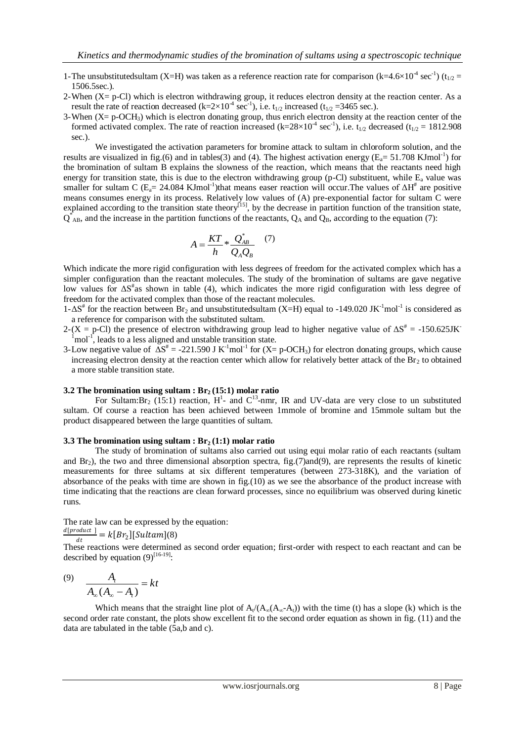- 1-The unsubstituted sultam (X=H) was taken as a reference reaction rate for comparison (k=4.6×10<sup>-4</sup> sec<sup>-1</sup>) (t<sub>1/2</sub> = 1506.5sec.).
- 2-When  $(X = p-C)$  which is electron withdrawing group, it reduces electron density at the reaction center. As a result the rate of reaction decreased (k=2×10<sup>-4</sup> sec<sup>-1</sup>), i.e. t<sub>1/2</sub> increased (t<sub>1/2</sub> = 3465 sec.).
- 3-When (X= p-OCH3) which is electron donating group, thus enrich electron density at the reaction center of the formed activated complex. The rate of reaction increased (k= $28\times10^{-4}$  sec<sup>-1</sup>), i.e. t<sub>1/2</sub> decreased (t<sub>1/2</sub> = 1812.908 sec.).

We investigated the activation parameters for bromine attack to sultam in chloroform solution, and the results are visualized in fig.(6) and in tables(3) and (4). The highest activation energy ( $E_a$ = 51.708 KJmol<sup>-1</sup>) for the bromination of sultam B explains the slowness of the reaction, which means that the reactants need high energy for transition state, this is due to the electron withdrawing group (p-Cl) substituent, while  $E_a$  value was smaller for sultam C ( $E_a$  = 24.084 KJmol<sup>-1</sup>)that means easer reaction will occur. The values of  $\Delta H^*$  are positive means consumes energy in its process. Relatively low values of (A) pre-exponential factor for sultam C were explained according to the transition state theory<sup>[15]</sup>, by the decrease in partition function of the transition state,  $Q_{AB}^*$ , and the increase in the partition functions of the reactants,  $Q_A$  and  $Q_B$ , according to the equation (7):

$$
A = \frac{KT}{h} * \frac{Q_{AB}^*}{Q_A Q_B} \quad (7)
$$

Which indicate the more rigid configuration with less degrees of freedom for the activated complex which has a simpler configuration than the reactant molecules. The study of the bromination of sultams are gave negative low values for  $\Delta S^*$ as shown in table (4), which indicates the more rigid configuration with less degree of freedom for the activated complex than those of the reactant molecules.

 $1-\Delta S^*$  for the reaction between Br<sub>2</sub> and unsubstitutedsultam (X=H) equal to -149.020 JK<sup>-1</sup>mol<sup>-1</sup> is considered as a reference for comparison with the substituted sultam.

2-(X = p-Cl) the presence of electron withdrawing group lead to higher negative value of  $\Delta S^* = -150.625$ JK  $1$ mol<sup>-1</sup>, leads to a less aligned and unstable transition state.

3-Low negative value of  $\Delta S^* = -221.590 \text{ J K}^{-1} \text{mol}^{-1}$  for  $(X=p\text{-OCH}_3)$  for electron donating groups, which cause increasing electron density at the reaction center which allow for relatively better attack of the  $Br<sub>2</sub>$  to obtained a more stable transition state.

### **3.2 The bromination using sultam : Br2 (15:1) molar ratio**

For Sultam: Br<sub>2</sub> (15:1) reaction, H<sup>1</sup>- and C<sup>13</sup>-nmr, IR and UV-data are very close to un substituted sultam. Of course a reaction has been achieved between 1mmole of bromine and 15mmole sultam but the product disappeared between the large quantities of sultam.

#### **3.3 The bromination using sultam : Br2 (1:1) molar ratio**

The study of bromination of sultams also carried out using equi molar ratio of each reactants (sultam and  $Br_2$ ), the two and three dimensional absorption spectra, fig.(7)and(9), are represents the results of kinetic measurements for three sultams at six different temperatures (between 273-318K), and the variation of absorbance of the peaks with time are shown in fig.(10) as we see the absorbance of the product increase with time indicating that the reactions are clean forward processes, since no equilibrium was observed during kinetic runs.

The rate law can be expressed by the equation:

$$
\frac{d[product]}{dt} = k[Br_2][Sultam](8)
$$

These reactions were determined as second order equation; first-order with respect to each reactant and can be described by equation  $(9)^{[16-19]}$ :

$$
\begin{array}{cc}\n(9) & A_t \\
\hline\nA_\infty (A_\infty - A_t)\n\end{array} = kt
$$

Which means that the straight line plot of  $A_t/(A_\infty(A_\infty-A_t))$  with the time (t) has a slope (k) which is the second order rate constant, the plots show excellent fit to the second order equation as shown in fig. (11) and the data are tabulated in the table (5a,b and c).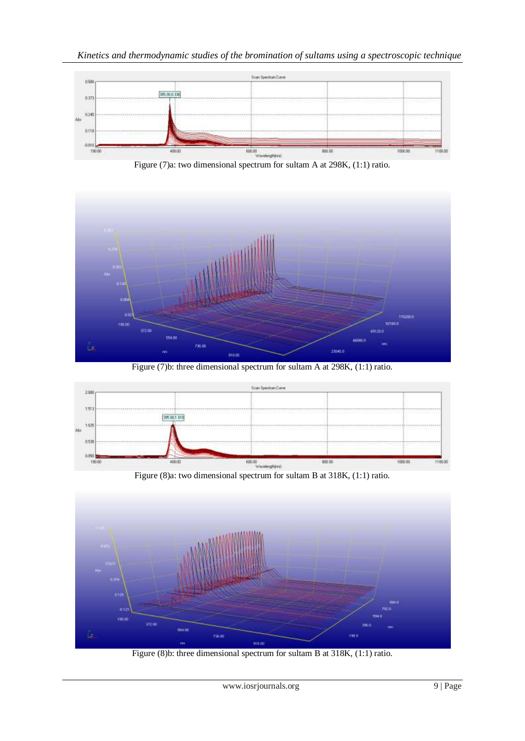



Figure (7)b: three dimensional spectrum for sultam A at 298K, (1:1) ratio.





Figure (8)b: three dimensional spectrum for sultam B at 318K, (1:1) ratio.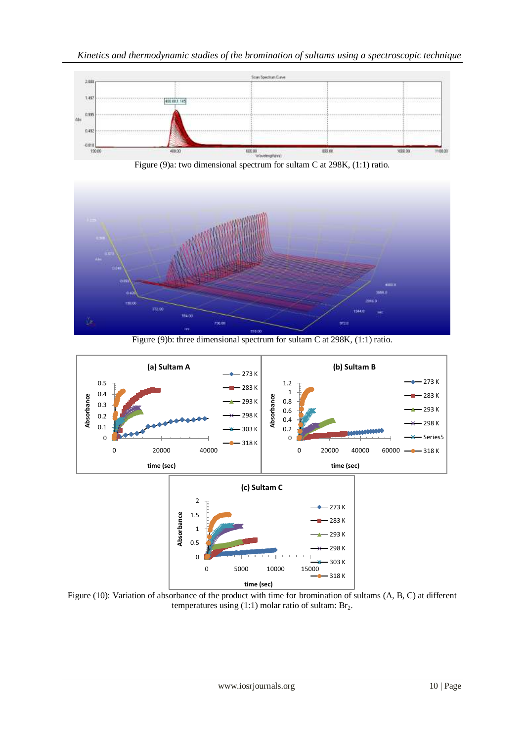



Figure (9)b: three dimensional spectrum for sultam C at 298K, (1:1) ratio.



Figure (10): Variation of absorbance of the product with time for bromination of sultams (A, B, C) at different temperatures using  $(1:1)$  molar ratio of sultam: Br<sub>2</sub>.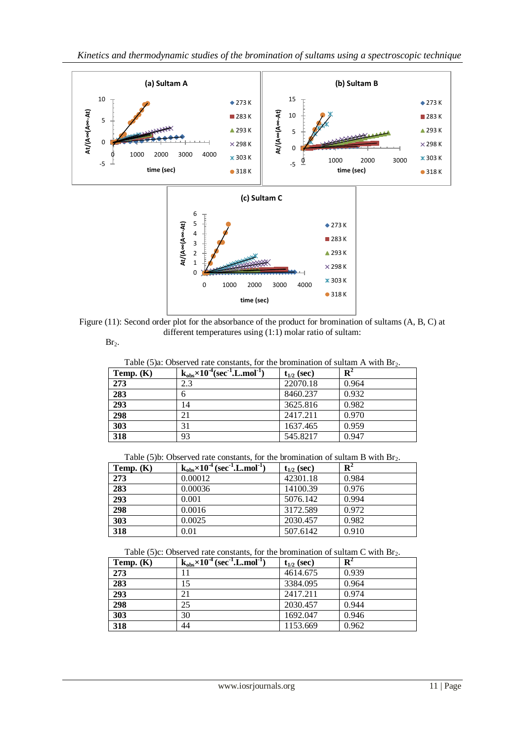

Figure (11): Second order plot for the absorbance of the product for bromination of sultams (A, B, C) at different temperatures using (1:1) molar ratio of sultam:

 $Br<sub>2</sub>$ .

Table (5)a: Observed rate constants, for the bromination of sultam A with  $Br_2$ .

| Temp. $(K)$ | $k_{obs} \times 10^{-4}$ (sec <sup>-1</sup> ,L.mol <sup>-1</sup> ) | $t_{1/2}$ (sec) | $\mathbf{R}^2$ |
|-------------|--------------------------------------------------------------------|-----------------|----------------|
| 273         | 2.3                                                                | 22070.18        | 0.964          |
| 283         | n                                                                  | 8460.237        | 0.932          |
| 293         | 14                                                                 | 3625.816        | 0.982          |
| 298         | 21                                                                 | 2417.211        | 0.970          |
| 303         | 31                                                                 | 1637.465        | 0.959          |
| 318         | 93                                                                 | 545.8217        | 0.947          |

Table (5)b: Observed rate constants, for the bromination of sultam B with  $Br_2$ .

| Temp. $(K)$ | $k_{obs}\times 10^{-4}$ (sec <sup>-1</sup> .L.mol <sup>-1</sup> ) | $t_{1/2}$ (sec) | ${\bf R}^2$ |
|-------------|-------------------------------------------------------------------|-----------------|-------------|
| 273         | 0.00012                                                           | 42301.18        | 0.984       |
| 283         | 0.00036                                                           | 14100.39        | 0.976       |
| 293         | 0.001                                                             | 5076.142        | 0.994       |
| 298         | 0.0016                                                            | 3172.589        | 0.972       |
| 303         | 0.0025                                                            | 2030.457        | 0.982       |
| 318         | 0.01                                                              | 507.6142        | 0.910       |

Table (5)c: Observed rate constants, for the bromination of sultam C with Br<sub>2</sub>.

| Temp. $(K)$ | $k_{obs}\times 10^{-4}$ (sec <sup>-1</sup> , L, mol <sup>-1</sup> | $t_{1/2}$ (sec) | ${\bf R}^2$ |
|-------------|-------------------------------------------------------------------|-----------------|-------------|
| 273         |                                                                   | 4614.675        | 0.939       |
| 283         | 15                                                                | 3384.095        | 0.964       |
| 293         | 21                                                                | 2417.211        | 0.974       |
| 298         | 25                                                                | 2030.457        | 0.944       |
| 303         | 30                                                                | 1692.047        | 0.946       |
| 318         | 44                                                                | 1153.669        | 0.962       |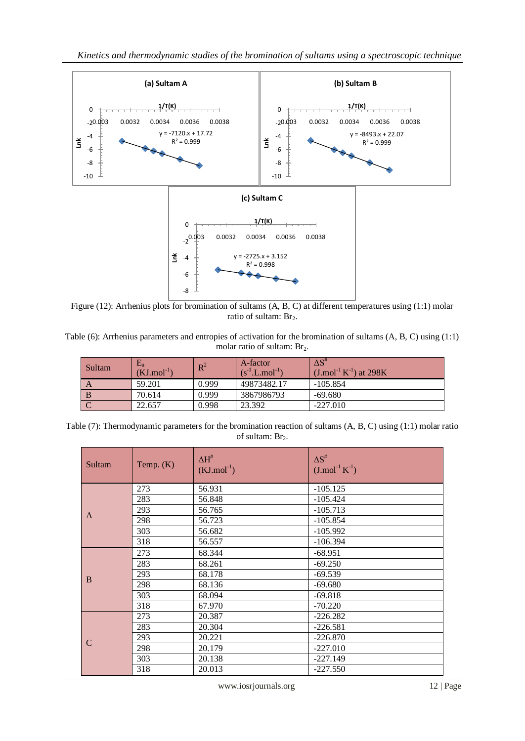

Figure (12): Arrhenius plots for bromination of sultams (A, B, C) at different temperatures using (1:1) molar ratio of sultam: Br<sub>2</sub>.

Table (6): Arrhenius parameters and entropies of activation for the bromination of sultams (A, B, C) using (1:1) molar ratio of sultam: Br<sub>2</sub>.

| Sultam | $\rm E_a$<br>$(KJ$ .mol <sup>-1</sup> ) | $R^2$ | A-factor<br>$(s^{-1}.L.mol^{-1})$ | $\Delta S^*$<br>$(J/mol^{-1}K^{-1})$ at 298K |
|--------|-----------------------------------------|-------|-----------------------------------|----------------------------------------------|
| A      | 59.201                                  | 0.999 | 49873482.17                       | $-105.854$                                   |
|        | 70.614                                  | 0.999 | 3867986793                        | $-69.680$                                    |
|        | 22.657                                  | 0.998 | 23.392                            | $-227.010$                                   |

Table (7): Thermodynamic parameters for the bromination reaction of sultams (A, B, C) using (1:1) molar ratio of sultam: Br<sub>2</sub>.

| Sultam        | Temp. $(K)$ | $\Delta H^{\#}$<br>$(KJ$ .mol <sup>-1</sup> ) | $\Delta S^{\#}$<br>$(J \mod 1} K^{-1})$ |
|---------------|-------------|-----------------------------------------------|-----------------------------------------|
|               | 273         | 56.931                                        | $-105.125$                              |
|               | 283         | 56.848                                        | $-105.424$                              |
| A             | 293         | 56.765                                        | $-105.713$                              |
|               | 298         | 56.723                                        | $-105.854$                              |
|               | 303         | 56.682                                        | $-105.992$                              |
|               | 318         | 56.557                                        | $-106.394$                              |
|               | 273         | 68.344                                        | $-68.951$                               |
|               | 283         | 68.261                                        | $-69.250$                               |
| B             | 293         | 68.178                                        | $-69.539$                               |
|               | 298         | 68.136                                        | $-69.680$                               |
|               | 303         | 68.094                                        | $-69.818$                               |
|               | 318         | 67.970                                        | $-70.220$                               |
|               | 273         | 20.387                                        | $-226.282$                              |
|               | 283         | 20.304                                        | $-226.581$                              |
| $\mathcal{C}$ | 293         | 20.221                                        | $-226.870$                              |
|               | 298         | 20.179                                        | $-227.010$                              |
|               | 303         | 20.138                                        | $-227.149$                              |
|               | 318         | 20.013                                        | $-227.550$                              |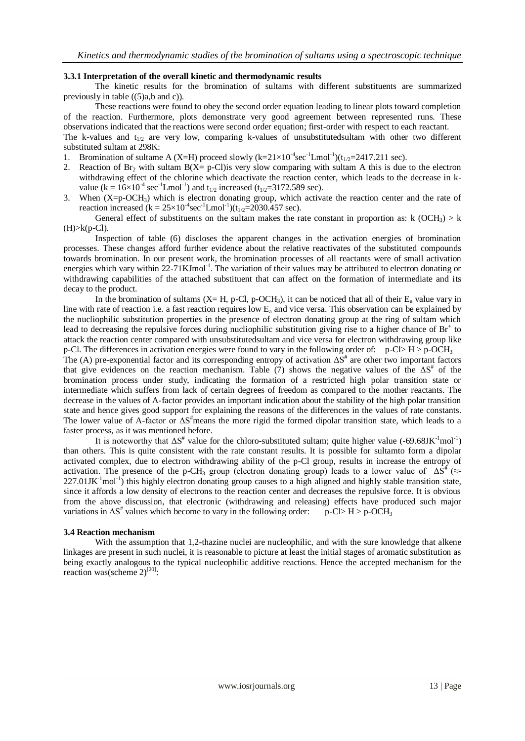### **3.3.1 Interpretation of the overall kinetic and thermodynamic results**

The kinetic results for the bromination of sultams with different substituents are summarized previously in table ((5)a,b and c)).

These reactions were found to obey the second order equation leading to linear plots toward completion of the reaction. Furthermore, plots demonstrate very good agreement between represented runs. These observations indicated that the reactions were second order equation; first-order with respect to each reactant. The k-values and  $t_{1/2}$  are very low, comparing k-values of unsubstitutedsultam with other two different

- substituted sultam at 298K: 1. Bromination of sultame A (X=H) proceed slowly  $(k=21\times10^{-4}\text{sec}^{-1}\text{L}mol^{-1})$  ( $t_{1/2}=2417.211$  sec).
- 2. Reaction of Br<sub>2</sub> with sultam B(X= p-Cl)is very slow comparing with sultam A this is due to the electron withdrawing effect of the chlorine which deactivate the reaction center, which leads to the decrease in kvalue ( $k = 16 \times 10^{-4}$  sec<sup>-1</sup>Lmol<sup>-1</sup>) and t<sub>1/2</sub> increased (t<sub>1/2</sub>=3172.589 sec).
- 3. When  $(X=p-OCH_3)$  which is electron donating group, which activate the reaction center and the rate of reaction increased ( $k = 25 \times 10^{-4}$ sec<sup>-1</sup>Lmol<sup>-1</sup>)( $t_{1/2} = 2030.457$  sec).

General effect of substituents on the sultam makes the rate constant in proportion as: k (OCH<sub>3</sub>) > k  $(H)$  $>$  $k(p$ -Cl).

Inspection of table (6) discloses the apparent changes in the activation energies of bromination processes. These changes afford further evidence about the relative reactivates of the substituted compounds towards bromination. In our present work, the bromination processes of all reactants were of small activation energies which vary within 22-71KJmol<sup>-1</sup>. The variation of their values may be attributed to electron donating or withdrawing capabilities of the attached substituent that can affect on the formation of intermediate and its decay to the product.

In the bromination of sultams (X= H, p-Cl, p-OCH<sub>3</sub>), it can be noticed that all of their  $E_a$  value vary in line with rate of reaction i.e. a fast reaction requires low  $E_a$  and vice versa. This observation can be explained by the nucliophilic substitution properties in the presence of electron donating group at the ring of sultam which lead to decreasing the repulsive forces during nucliophilic substitution giving rise to a higher chance of  $Br<sup>+</sup>$  to attack the reaction center compared with unsubstitutedsultam and vice versa for electron withdrawing group like p-Cl. The differences in activation energies were found to vary in the following order of:  $p$ -Cl> H >  $p$ -OCH<sub>3</sub>

The (A) pre-exponential factor and its corresponding entropy of activation  $\Delta S^*$  are other two important factors that give evidences on the reaction mechanism. Table (7) shows the negative values of the  $\Delta S^*$  of the bromination process under study, indicating the formation of a restricted high polar transition state or intermediate which suffers from lack of certain degrees of freedom as compared to the mother reactants. The decrease in the values of A-factor provides an important indication about the stability of the high polar transition state and hence gives good support for explaining the reasons of the differences in the values of rate constants. The lower value of A-factor or  $\Delta S^*$  means the more rigid the formed dipolar transition state, which leads to a faster process, as it was mentioned before.

It is noteworthy that  $\Delta S^*$  value for the chloro-substituted sultam; quite higher value (-69.68JK<sup>-1</sup>mol<sup>-1</sup>) than others. This is quite consistent with the rate constant results. It is possible for sultamto form a dipolar activated complex, due to electron withdrawing ability of the p-Cl group, results in increase the entropy of activation. The presence of the p-CH<sub>3</sub> group (electron donating group) leads to a lower value of  $\Delta S^*$  ( $\approx$ - $227.01$ JK<sup>-1</sup>mol<sup>-1</sup>) this highly electron donating group causes to a high aligned and highly stable transition state, since it affords a low density of electrons to the reaction center and decreases the repulsive force. It is obvious from the above discussion, that electronic (withdrawing and releasing) effects have produced such major variations in  $\Delta S^*$  values which become to vary in the following order:  $p-CL > H > p-OCH_3$ 

#### **3.4 Reaction mechanism**

With the assumption that 1,2-thazine nuclei are nucleophilic, and with the sure knowledge that alkene linkages are present in such nuclei, it is reasonable to picture at least the initial stages of aromatic substitution as being exactly analogous to the typical nucleophilic additive reactions. Hence the accepted mechanism for the reaction was(scheme 2)<sup>[20]</sup>: